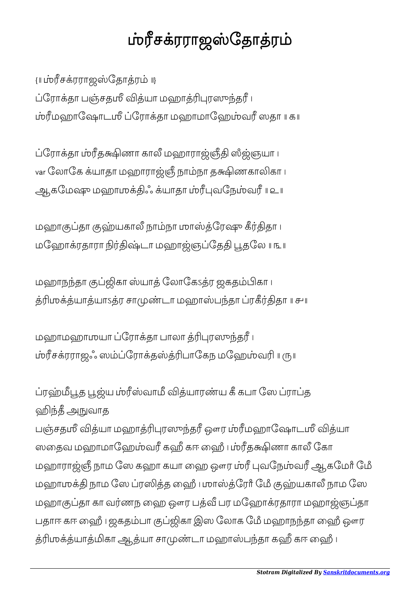## ம்ரீசக்ரராஜஸ்தோத்ரம்

{။ ப்ரரீசக்ரராஜஸ்தோத்ரம் ။} ப்ரோக்தா பஞ்சதமீ வித்யா மஹாத்ரிபுரஸுந்தரீ ၊ மஹாேஷாடஶீ ேராதா மஹாமாேஹவ ஸதா ॥ ௧॥

ப்ரோக்தா ம்ரீதக்ஷிணா காலீ மஹாராஜ்ஞீதி ஸீஜ்ஞயா ၊ var லோகே க்யாதா மஹாராஜ்ஞீ நாம்நா தக்ஷிணகாலிகா ၊ ஆகேம மஹாஶஃ யாதா வேநவ ॥ ௨॥

மஹாகுப்தா குஹ்யகாலீ நாம்நா மாஸ்த்ரேஷு கீர்திதா ၊ மஹோக்ரதாரா நிர்திஷ்டா மஹாஜ்ஞப்தேதி பூதலே ။ ௩ ။

மஹாநந்தா குப்ஜிகா ஸ்யாத் லோகேsத்ர ஜகதம்பிகா ၊ ஶயாயாऽர சாடா மஹாபதா ரதா ॥ ௪॥

மஹாமஹாமயா ப்ரோக்தா பாலா த்ரிபுரஸுந்தரீ ၊ சரராஜஃ ஸேராதபாேகந மேஹவ ॥ ௫॥

ப்ரஹ்மீபூத பூஜ்ய ம்ரீஸ்வாமீ வித்யாரண்ய கீ கபா ஸே ப்ராப்த ஹிந்தீ <u>அ</u>நுவாத

பஞ்சதமீ வித்யா மஹாத்ரிபுரஸுந்தரீ ஔர ம்ரீமஹாஷோடமீ வித்யா ஸதைவ மஹாமாஹேம்வரீ கஹீ கா ஹைீ பம்ரீதக்ஷிணா காலீ கோ மஹாராஜ்ஞீ நாம ஸே கஹா கயா ஹை ஔர ம்ரீ புவநேம்வரீ ஆகமேர் மே மஹாமுக்தி நாம ஸே ப்ரஸித்த ஹைீ பமாஸ்த்ரேர் மேீ குஹ்யகாலீ நாம ஸே மஹாகுப்தா கா வர்ணந ஹை ஔர பத்வீ பர மஹோக்ரதாரா மஹாஜ்ஞப்தா பதாஈ கஈ ஹி ၊ ஜகதம்பா குப்ஜிகா இஸ லோக மேீ மஹாநந்தா ஹைீ ஔர த்ரிமுக்த்யாத்மிகா ஆத்யா சாமுண்டா மஹாஸ்பந்தா கஹீ கா ஹைீ ப